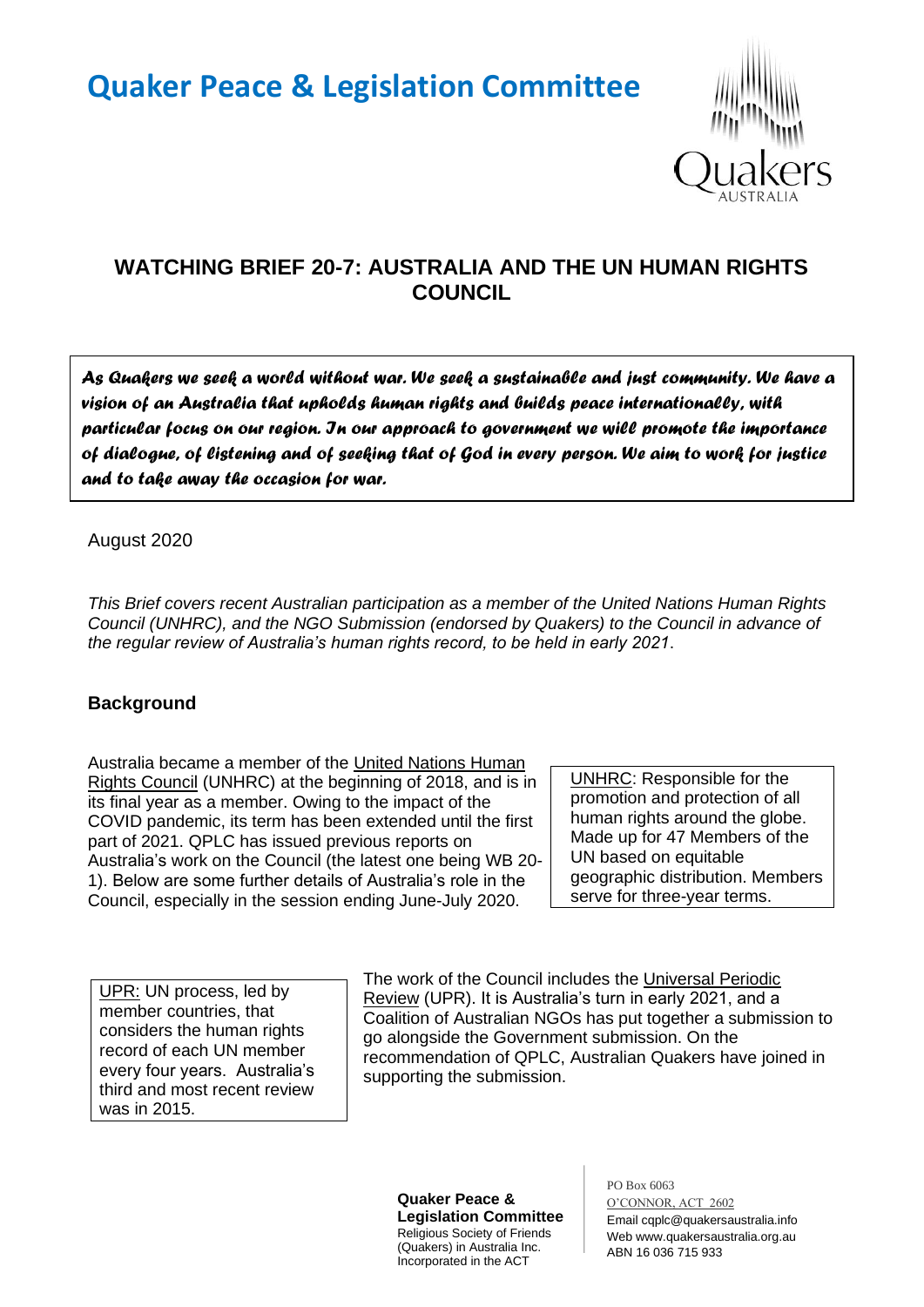# **Quaker Peace & Legislation Committee**



# **WATCHING BRIEF 20-7: AUSTRALIA AND THE UN HUMAN RIGHTS COUNCIL**

*As Quakers we seek a world without war. We seek a sustainable and just community. We have a vision of an Australia that upholds human rights and builds peace internationally, with particular focus on our region. In our approach to government we will promote the importance of dialogue, of listening and of seeking that of God in every person. We aim to work for justice and to take away the occasion for war.* 

August 2020

*This Brief covers recent Australian participation as a member of the United Nations Human Rights Council (UNHRC), and the NGO Submission (endorsed by Quakers) to the Council in advance of the regular review of Australia's human rights record, to be held in early 2021*.

# **Background**

Australia became a member of the United Nations Human Rights Council (UNHRC) at the beginning of 2018, and is in its final year as a member. Owing to the impact of the COVID pandemic, its term has been extended until the first part of 2021. QPLC has issued previous reports on Australia's work on the Council (the latest one being WB 20- 1). Below are some further details of Australia's role in the Council, especially in the session ending June-July 2020.

UNHRC: Responsible for the promotion and protection of all human rights around the globe. Made up for 47 Members of the UN based on equitable geographic distribution. Members serve for three-year terms.

UPR: UN process, led by member countries, that considers the human rights record of each UN member every four years. Australia's third and most recent review was in 2015.

The work of the Council includes the Universal Periodic Review (UPR). It is Australia's turn in early 2021, and a Coalition of Australian NGOs has put together a submission to go alongside the Government submission. On the recommendation of QPLC, Australian Quakers have joined in supporting the submission.

**Quaker Peace & Legislation Committee** Religious Society of Friends (Quakers) in Australia Inc. Incorporated in the ACT

PO Box 6063 O'CONNOR, ACT 2602 Email cqplc@quakersaustralia.info Web www.quakersaustralia.org.au ABN 16 036 715 933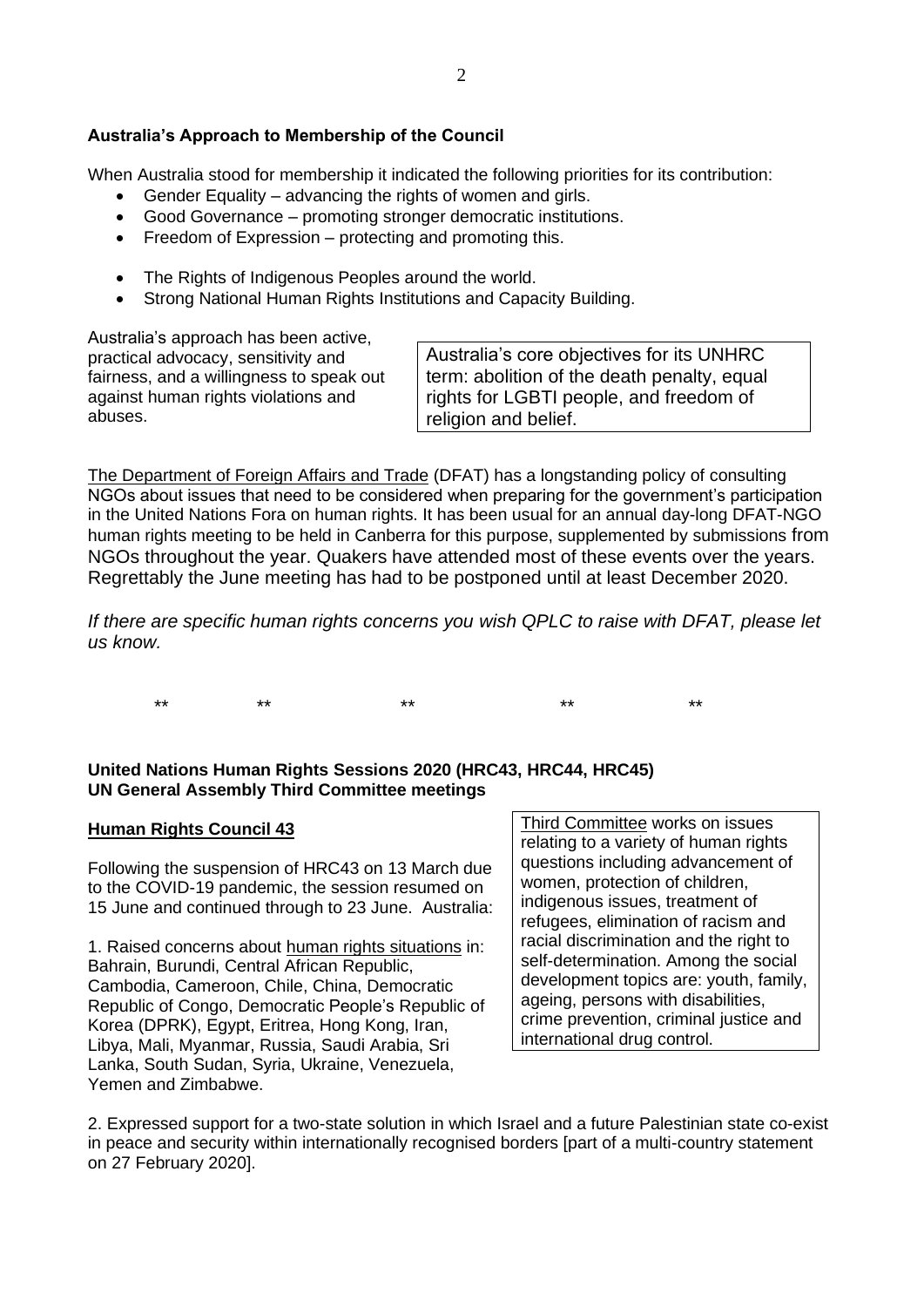#### **Australia's Approach to Membership of the Council**

When Australia stood for membership it indicated the following priorities for its contribution:

- Gender Equality advancing the rights of women and girls.
- Good Governance promoting stronger democratic institutions.
- Freedom of Expression protecting and promoting this.
- The Rights of Indigenous Peoples around the world.
- Strong National Human Rights Institutions and Capacity Building.

Australia's approach has been active, practical advocacy, sensitivity and fairness, and a willingness to speak out against human rights violations and abuses.

Australia's core objectives for its UNHRC term: abolition of the death penalty, equal rights for LGBTI people, and freedom of religion and belief.

The Department of Foreign Affairs and Trade (DFAT) has a longstanding policy of consulting NGOs about issues that need to be considered when preparing for the government's participation in the United Nations Fora on human rights. It has been usual for an annual day-long DFAT-NGO human rights meeting to be held in Canberra for this purpose, supplemented by submissions from NGOs throughout the year. Quakers have attended most of these events over the years. Regrettably the June meeting has had to be postponed until at least December 2020.

*If there are specific human rights concerns you wish QPLC to raise with DFAT, please let us know.*

\*\* \*\* \*\* \*\* \*\*

# **United Nations Human Rights Sessions 2020 (HRC43, HRC44, HRC45) UN General Assembly Third Committee meetings**

#### **Human Rights Council 43**

Following the suspension of HRC43 on 13 March due to the COVID-19 pandemic, the session resumed on 15 June and continued through to 23 June. Australia:

1. Raised concerns about human rights situations in: Bahrain, Burundi, Central African Republic, Cambodia, Cameroon, Chile, China, Democratic Republic of Congo, Democratic People's Republic of Korea (DPRK), Egypt, Eritrea, Hong Kong, Iran, Libya, Mali, Myanmar, Russia, Saudi Arabia, Sri Lanka, South Sudan, Syria, Ukraine, Venezuela, Yemen and Zimbabwe.

Third Committee works on issues relating to a variety of human rights questions including advancement of women, protection of children, indigenous issues, treatment of refugees, elimination of racism and racial discrimination and the right to self-determination. Among the social development topics are: youth, family, ageing, persons with disabilities, crime prevention, criminal justice and international drug control.

2. Expressed support for a two-state solution in which Israel and a future Palestinian state co-exist in peace and security within internationally recognised borders [part of a multi-country statement on 27 February 2020].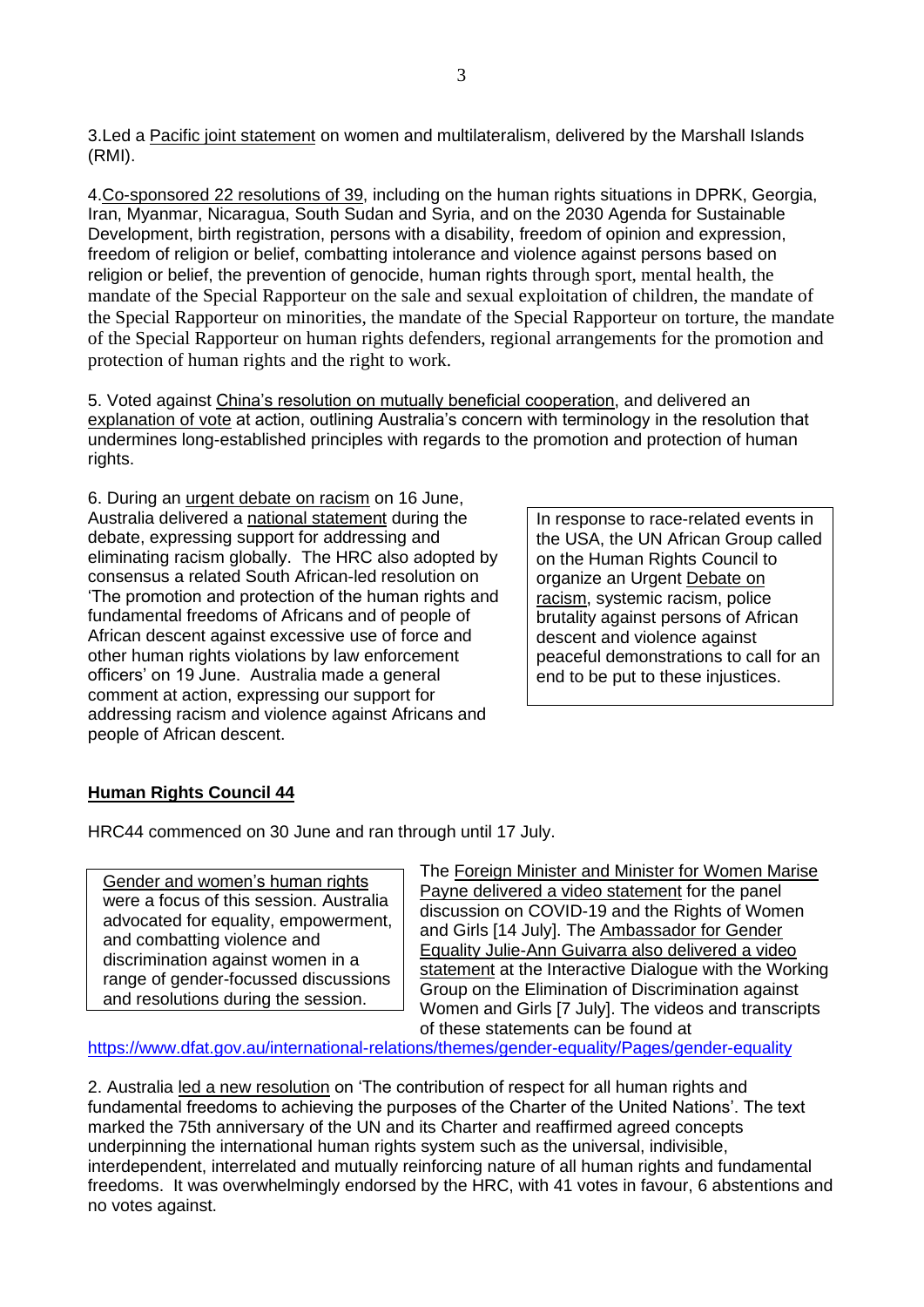3.Led a [Pacific joint statement](https://www.dfat.gov.au/sites/default/files/43rd-hrc-pacific-joint-statement-item-8-women-multilateralism.pdf) on women and multilateralism, delivered by the Marshall Islands (RMI).

4.Co-sponsored 22 resolutions of 39, including on the human rights situations in DPRK, Georgia, Iran, Myanmar, Nicaragua, South Sudan and Syria, and on the 2030 Agenda for Sustainable Development, birth registration, persons with a disability, freedom of opinion and expression, freedom of religion or belief, combatting intolerance and violence against persons based on religion or belief, the prevention of genocide, human rights through sport, mental health, the mandate of the Special Rapporteur on the sale and sexual exploitation of children, the mandate of the Special Rapporteur on minorities, the mandate of the Special Rapporteur on torture, the mandate of the Special Rapporteur on human rights defenders, regional arrangements for the promotion and protection of human rights and the right to work.

5. Voted against China's resolution on mutually beneficial cooperation, and delivered an [explanation of vote](https://www.dfat.gov.au/sites/default/files/43rd-hrc-statement-explanation-of-vote-promotion-of-mbc-field-of-hr.pdf) at action, outlining Australia's concern with terminology in the resolution that undermines long-established principles with regards to the promotion and protection of human rights.

6. During an urgent debate on racism on 16 June, Australia delivered a [national statement](https://www.dfat.gov.au/sites/default/files/43rd-hrc-national-statement-urgent-debate-on-racism.pdf) during the debate, expressing support for addressing and eliminating racism globally. The HRC also adopted by consensus a related South African-led resolution on 'The promotion and protection of the human rights and fundamental freedoms of Africans and of people of African descent against excessive use of force and other human rights violations by law enforcement officers' on 19 June. Australia made a [general](https://www.dfat.gov.au/sites/default/files/43-hrc-statement-at-action-resolution-on-human-rights-of-africans-and-people-of-african-descent-against-police-brutality.pdf)  [comment](https://www.dfat.gov.au/sites/default/files/43-hrc-statement-at-action-resolution-on-human-rights-of-africans-and-people-of-african-descent-against-police-brutality.pdf) at action, expressing our support for addressing racism and violence against Africans and people of African descent.

In response to race-related events in the USA, the UN African Group called on the Human Rights Council to organize an Urgent Debate on racism, systemic racism, police brutality against persons of African descent and violence against peaceful demonstrations to call for an end to be put to these injustices.

#### **Human Rights Council 44**

HRC44 commenced on 30 June and ran through until 17 July.

Gender and women's human rights were a focus of this session. Australia advocated for equality, empowerment, and combatting violence and discrimination against women in a range of gender-focussed discussions and resolutions during the session.

The Foreign Minister and Minister for Women Marise Payne delivered a video statement for the panel discussion on COVID-19 and the Rights of Women and Girls [14 July]. The Ambassador for Gender Equality Julie-Ann Guivarra also delivered a video statement at the Interactive Dialogue with the Working Group on the Elimination of Discrimination against Women and Girls [7 July]. The videos and transcripts of these statements can be found at

<https://www.dfat.gov.au/international-relations/themes/gender-equality/Pages/gender-equality>

2. Australia led a new resolution on 'The contribution of respect for all human rights and fundamental freedoms to achieving the purposes of the Charter of the United Nations'. The text marked the 75th anniversary of the UN and its Charter and reaffirmed agreed concepts underpinning the international human rights system such as the universal, indivisible, interdependent, interrelated and mutually reinforcing nature of all human rights and fundamental freedoms. It was overwhelmingly endorsed by the HRC, with 41 votes in favour, 6 abstentions and no votes against.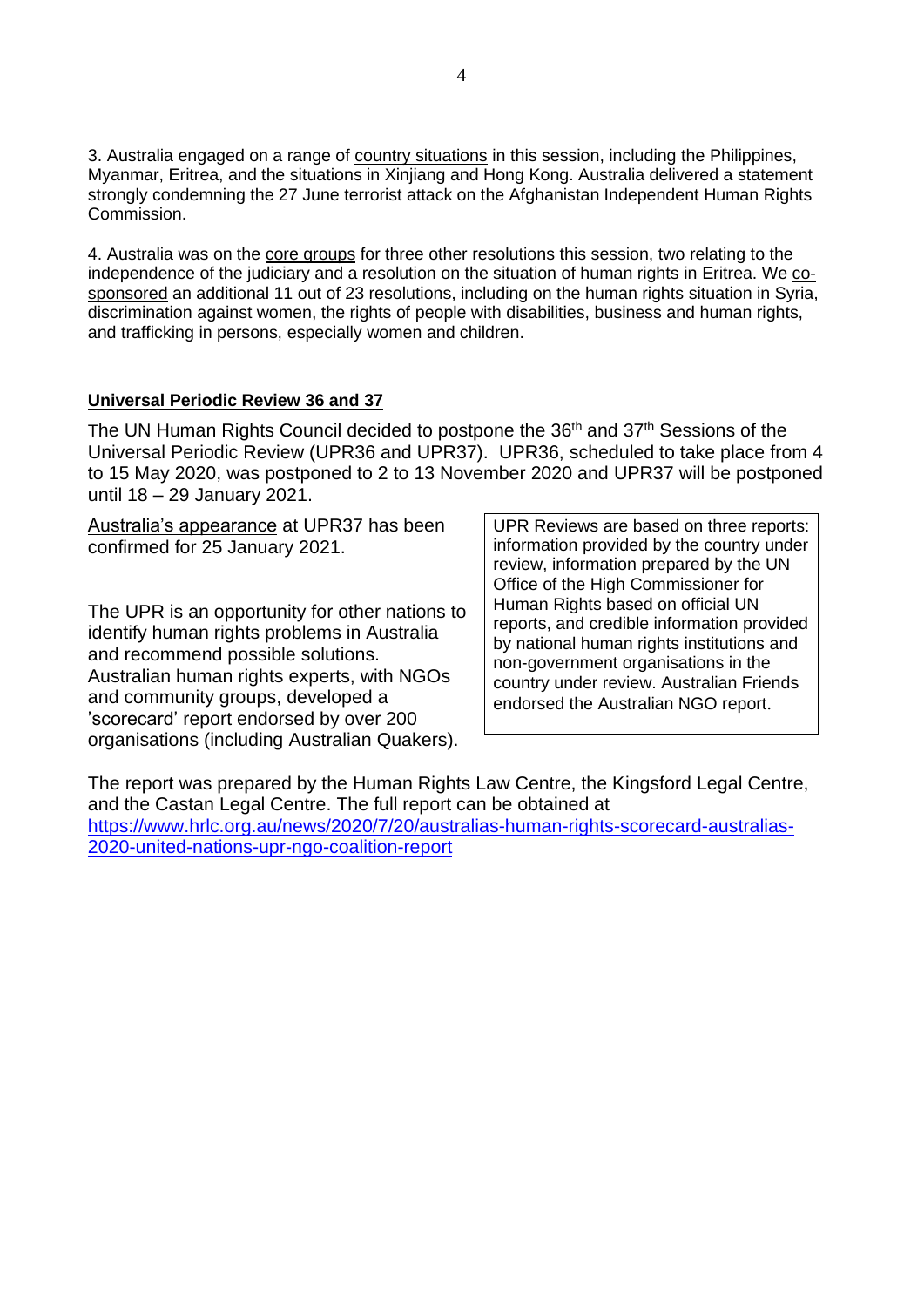3. Australia engaged on a range of country situations in this session, including the Philippines, Myanmar, Eritrea, and the situations in Xinjiang and Hong Kong. Australia delivered a statement strongly condemning the 27 June terrorist attack on the Afghanistan Independent Human Rights Commission.

4. Australia was on the core groups for three other resolutions this session, two relating to the independence of the judiciary and a resolution on the situation of human rights in Eritrea. We cosponsored an additional 11 out of 23 resolutions, including on the human rights situation in Syria, discrimination against women, the rights of people with disabilities, business and human rights, and trafficking in persons, especially women and children.

# **Universal Periodic Review 36 and 37**

The UN Human Rights Council decided to postpone the 36<sup>th</sup> and 37<sup>th</sup> Sessions of the Universal Periodic Review (UPR36 and UPR37). UPR36, scheduled to take place from 4 to 15 May 2020, was postponed to 2 to 13 November 2020 and UPR37 will be postponed until 18 – 29 January 2021.

Australia's appearance at UPR37 has been confirmed for 25 January 2021.

The UPR is an opportunity for other nations to identify human rights problems in Australia and recommend possible solutions. Australian human rights experts, with NGOs and community groups, developed a 'scorecard' report endorsed by over 200 organisations (including Australian Quakers).

UPR Reviews are based on three reports: information provided by the country under review, information prepared by the UN Office of the High Commissioner for Human Rights based on official UN reports, and credible information provided by national human rights institutions and non-government organisations in the country under review. Australian Friends endorsed the Australian NGO report.

The report was prepared by the Human Rights Law Centre, the Kingsford Legal Centre, and the Castan Legal Centre. The full report can be obtained at [https://www.hrlc.org.au/news/2020/7/20/australias-human-rights-scorecard-australias-](https://www.hrlc.org.au/news/2020/7/20/australias-human-rights-scorecard-australias-2020-united-nations-upr-ngo-coalition-report)[2020-united-nations-upr-ngo-coalition-report](https://www.hrlc.org.au/news/2020/7/20/australias-human-rights-scorecard-australias-2020-united-nations-upr-ngo-coalition-report)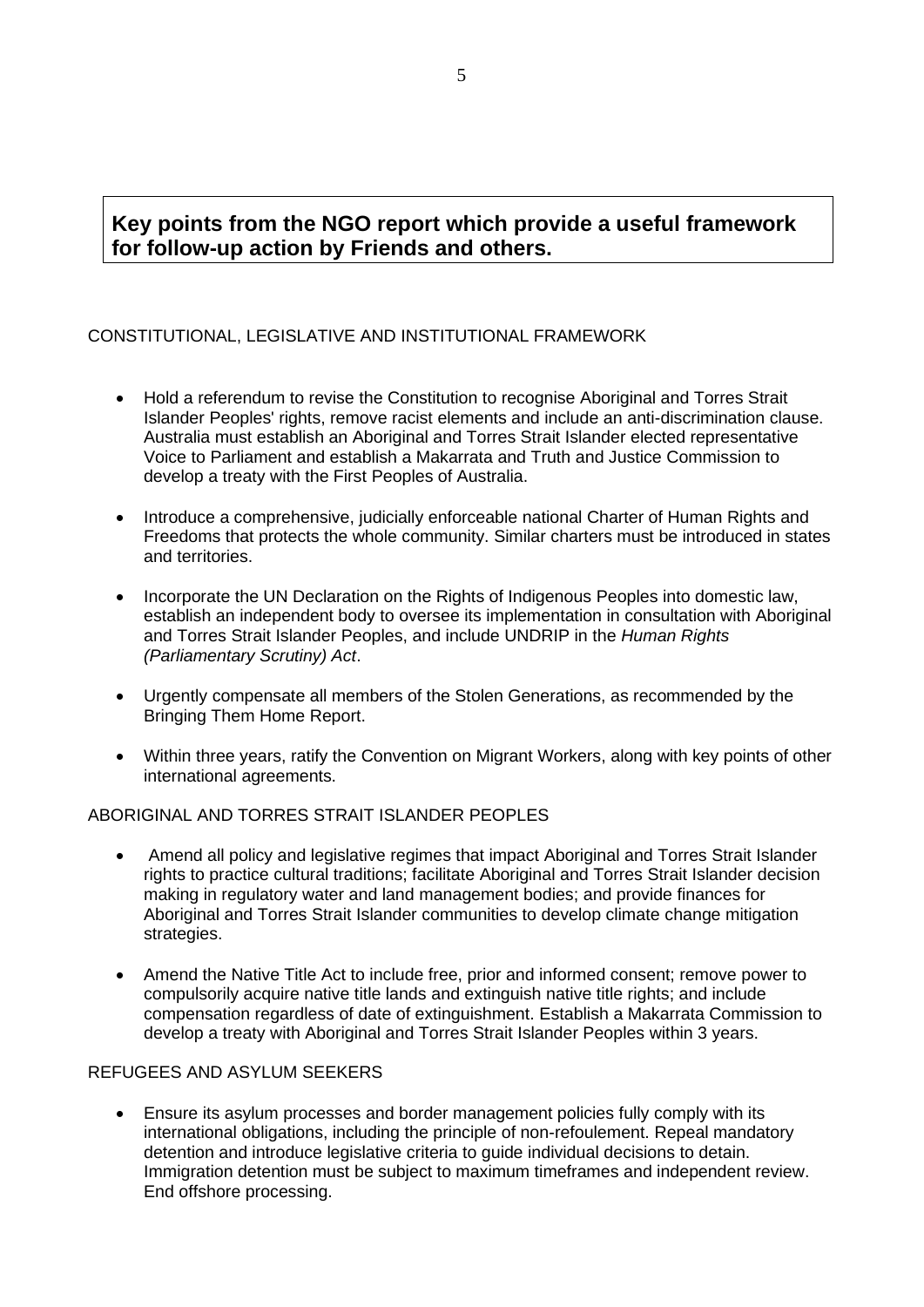# **Key points from the NGO report which provide a useful framework for follow-up action by Friends and others.**

# CONSTITUTIONAL, LEGISLATIVE AND INSTITUTIONAL FRAMEWORK

- Hold a referendum to revise the Constitution to recognise Aboriginal and Torres Strait Islander Peoples' rights, remove racist elements and include an anti-discrimination clause. Australia must establish an Aboriginal and Torres Strait Islander elected representative Voice to Parliament and establish a Makarrata and Truth and Justice Commission to develop a treaty with the First Peoples of Australia.
- Introduce a comprehensive, judicially enforceable national Charter of Human Rights and Freedoms that protects the whole community. Similar charters must be introduced in states and territories.
- Incorporate the UN Declaration on the Rights of Indigenous Peoples into domestic law, establish an independent body to oversee its implementation in consultation with Aboriginal and Torres Strait Islander Peoples, and include UNDRIP in the *Human Rights (Parliamentary Scrutiny) Act*.
- Urgently compensate all members of the Stolen Generations, as recommended by the Bringing Them Home Report.
- Within three years, ratify the Convention on Migrant Workers, along with key points of other international agreements.

#### ABORIGINAL AND TORRES STRAIT ISLANDER PEOPLES

- Amend all policy and legislative regimes that impact Aboriginal and Torres Strait Islander rights to practice cultural traditions; facilitate Aboriginal and Torres Strait Islander decision making in regulatory water and land management bodies; and provide finances for Aboriginal and Torres Strait Islander communities to develop climate change mitigation strategies.
- Amend the Native Title Act to include free, prior and informed consent; remove power to compulsorily acquire native title lands and extinguish native title rights; and include compensation regardless of date of extinguishment. Establish a Makarrata Commission to develop a treaty with Aboriginal and Torres Strait Islander Peoples within 3 years.

#### REFUGEES AND ASYLUM SEEKERS

• Ensure its asylum processes and border management policies fully comply with its international obligations, including the principle of non-refoulement. Repeal mandatory detention and introduce legislative criteria to guide individual decisions to detain. Immigration detention must be subject to maximum timeframes and independent review. End offshore processing.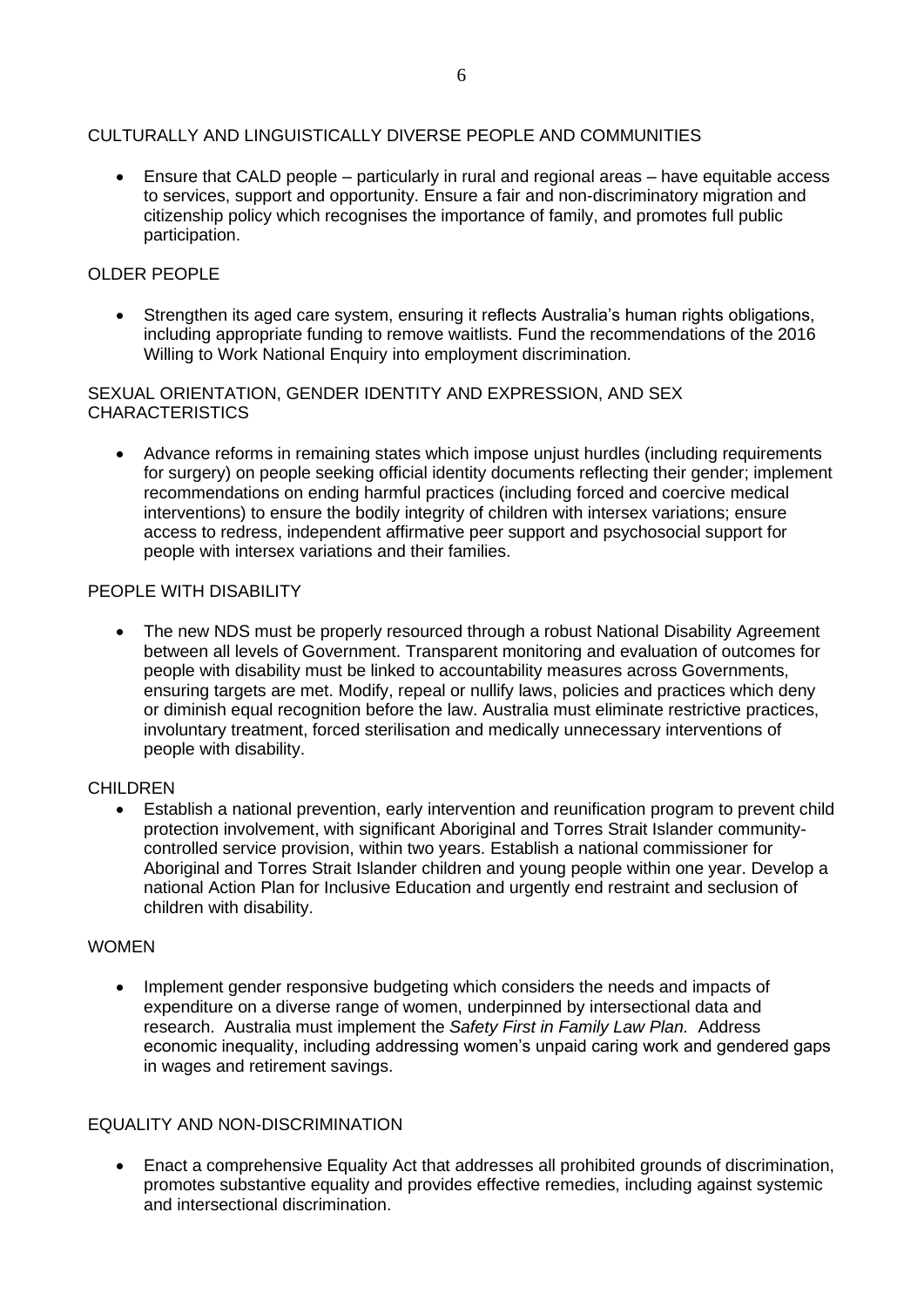#### CULTURALLY AND LINGUISTICALLY DIVERSE PEOPLE AND COMMUNITIES

• Ensure that CALD people – particularly in rural and regional areas – have equitable access to services, support and opportunity. Ensure a fair and non-discriminatory migration and citizenship policy which recognises the importance of family, and promotes full public participation.

#### OLDER PEOPLE

• Strengthen its aged care system, ensuring it reflects Australia's human rights obligations, including appropriate funding to remove waitlists. Fund the recommendations of the 2016 Willing to Work National Enquiry into employment discrimination.

SEXUAL ORIENTATION, GENDER IDENTITY AND EXPRESSION, AND SEX **CHARACTERISTICS** 

• Advance reforms in remaining states which impose unjust hurdles (including requirements for surgery) on people seeking official identity documents reflecting their gender; implement recommendations on ending harmful practices (including forced and coercive medical interventions) to ensure the bodily integrity of children with intersex variations; ensure access to redress, independent affirmative peer support and psychosocial support for people with intersex variations and their families.

#### PEOPLE WITH DISABILITY

• The new NDS must be properly resourced through a robust National Disability Agreement between all levels of Government. Transparent monitoring and evaluation of outcomes for people with disability must be linked to accountability measures across Governments, ensuring targets are met. Modify, repeal or nullify laws, policies and practices which deny or diminish equal recognition before the law. Australia must eliminate restrictive practices, involuntary treatment, forced sterilisation and medically unnecessary interventions of people with disability.

#### **CHILDREN**

• Establish a national prevention, early intervention and reunification program to prevent child protection involvement, with significant Aboriginal and Torres Strait Islander communitycontrolled service provision, within two years. Establish a national commissioner for Aboriginal and Torres Strait Islander children and young people within one year. Develop a national Action Plan for Inclusive Education and urgently end restraint and seclusion of children with disability.

#### WOMEN

• Implement gender responsive budgeting which considers the needs and impacts of expenditure on a diverse range of women, underpinned by intersectional data and research. Australia must implement the *Safety First in Family Law Plan.* Address economic inequality, including addressing women's unpaid caring work and gendered gaps in wages and retirement savings.

#### EQUALITY AND NON-DISCRIMINATION

• Enact a comprehensive Equality Act that addresses all prohibited grounds of discrimination, promotes substantive equality and provides effective remedies, including against systemic and intersectional discrimination.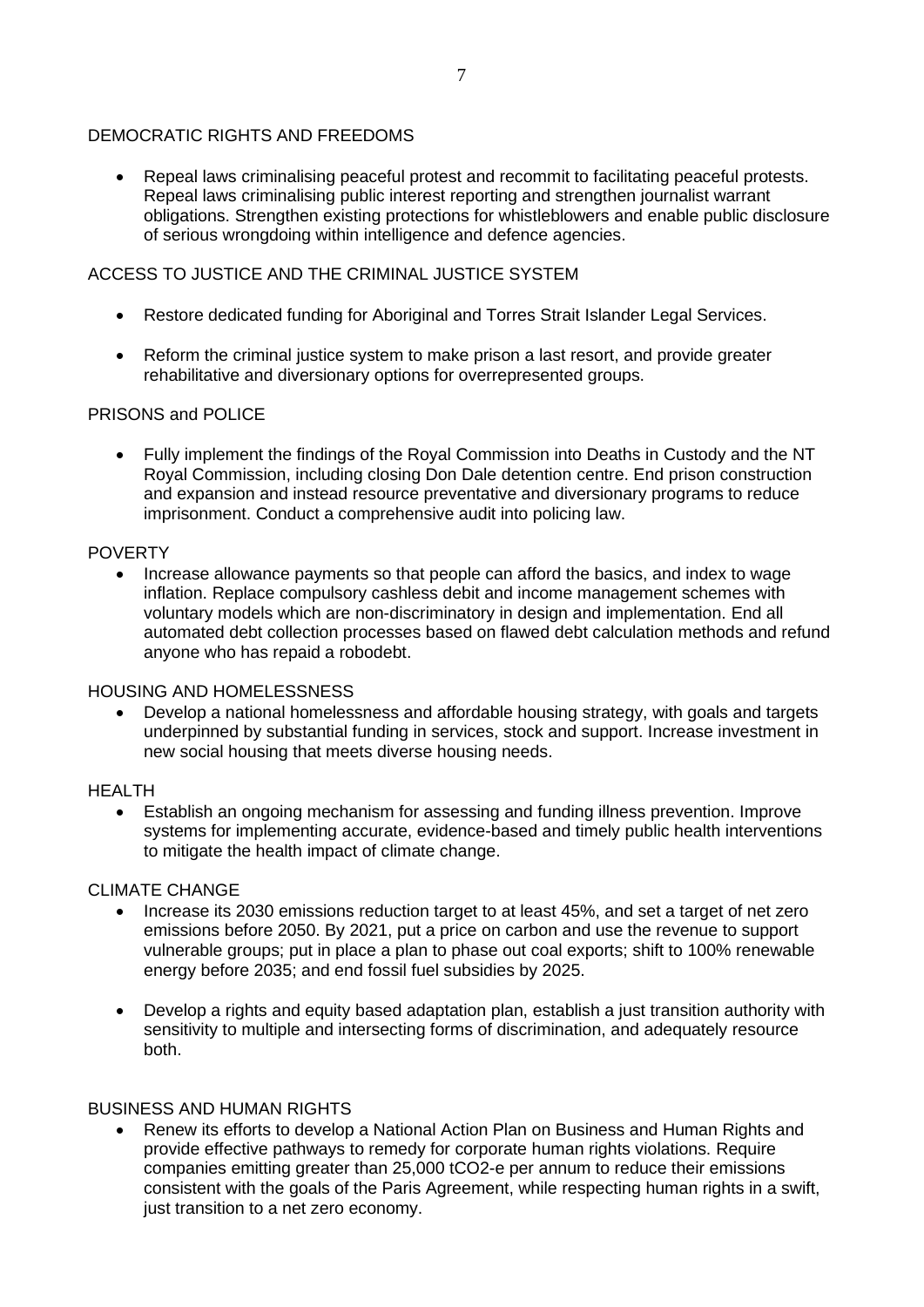#### DEMOCRATIC RIGHTS AND FREEDOMS

• Repeal laws criminalising peaceful protest and recommit to facilitating peaceful protests. Repeal laws criminalising public interest reporting and strengthen journalist warrant obligations. Strengthen existing protections for whistleblowers and enable public disclosure of serious wrongdoing within intelligence and defence agencies.

#### ACCESS TO JUSTICE AND THE CRIMINAL JUSTICE SYSTEM

- Restore dedicated funding for Aboriginal and Torres Strait Islander Legal Services.
- Reform the criminal justice system to make prison a last resort, and provide greater rehabilitative and diversionary options for overrepresented groups.

#### PRISONS and POLICE

• Fully implement the findings of the Royal Commission into Deaths in Custody and the NT Royal Commission, including closing Don Dale detention centre. End prison construction and expansion and instead resource preventative and diversionary programs to reduce imprisonment. Conduct a comprehensive audit into policing law.

#### POVERTY

• Increase allowance payments so that people can afford the basics, and index to wage inflation. Replace compulsory cashless debit and income management schemes with voluntary models which are non-discriminatory in design and implementation. End all automated debt collection processes based on flawed debt calculation methods and refund anyone who has repaid a robodebt.

#### HOUSING AND HOMELESSNESS

• Develop a national homelessness and affordable housing strategy, with goals and targets underpinned by substantial funding in services, stock and support. Increase investment in new social housing that meets diverse housing needs.

#### HEALTH

• Establish an ongoing mechanism for assessing and funding illness prevention. Improve systems for implementing accurate, evidence-based and timely public health interventions to mitigate the health impact of climate change.

#### CLIMATE CHANGE

- Increase its 2030 emissions reduction target to at least 45%, and set a target of net zero emissions before 2050. By 2021, put a price on carbon and use the revenue to support vulnerable groups; put in place a plan to phase out coal exports; shift to 100% renewable energy before 2035; and end fossil fuel subsidies by 2025.
- Develop a rights and equity based adaptation plan, establish a just transition authority with sensitivity to multiple and intersecting forms of discrimination, and adequately resource both.

#### BUSINESS AND HUMAN RIGHTS

• Renew its efforts to develop a National Action Plan on Business and Human Rights and provide effective pathways to remedy for corporate human rights violations. Require companies emitting greater than 25,000 tCO2-e per annum to reduce their emissions consistent with the goals of the Paris Agreement, while respecting human rights in a swift, just transition to a net zero economy.